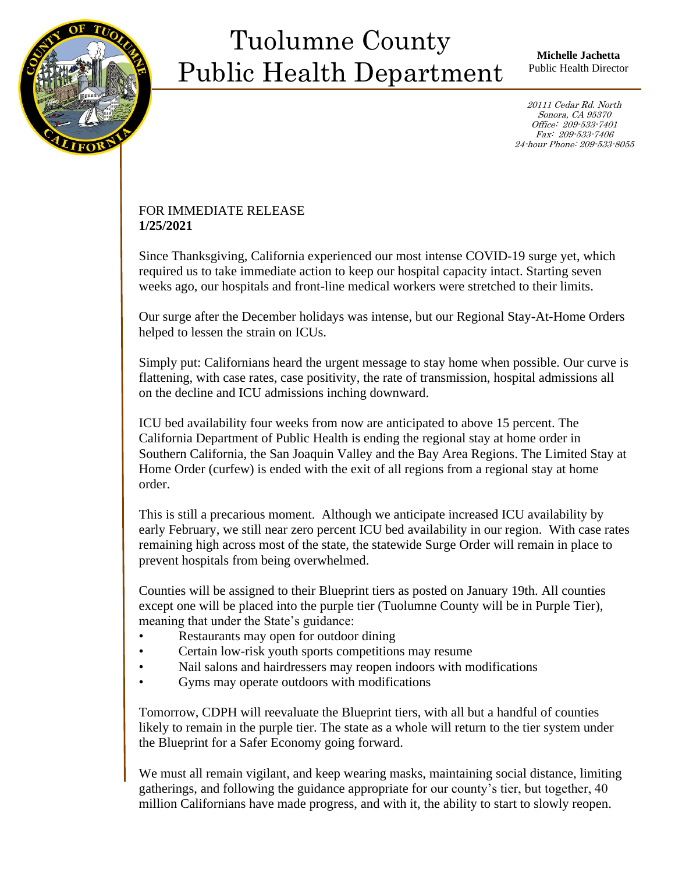

Ī

## Tuolumne County Public Health Department

**Michelle Jachetta** Public Health Director

20111 Cedar Rd. North Sonora, CA 95370 Office: 209-533-7401 Fax: 209-533-7406 24-hour Phone: 209-533-8055

## FOR IMMEDIATE RELEASE **1/25/2021**

Since Thanksgiving, California experienced our most intense COVID-19 surge yet, which required us to take immediate action to keep our hospital capacity intact. Starting seven weeks ago, our hospitals and front-line medical workers were stretched to their limits.

Our surge after the December holidays was intense, but our Regional Stay-At-Home Orders helped to lessen the strain on ICUs.

Simply put: Californians heard the urgent message to stay home when possible. Our curve is flattening, with case rates, case positivity, the rate of transmission, hospital admissions all on the decline and ICU admissions inching downward.

ICU bed availability four weeks from now are anticipated to above 15 percent. The California Department of Public Health is ending the regional stay at home order in Southern California, the San Joaquin Valley and the Bay Area Regions. The Limited Stay at Home Order (curfew) is ended with the exit of all regions from a regional stay at home order.

This is still a precarious moment. Although we anticipate increased ICU availability by early February, we still near zero percent ICU bed availability in our region. With case rates remaining high across most of the state, the statewide Surge Order will remain in place to prevent hospitals from being overwhelmed.

Counties will be assigned to their Blueprint tiers as posted on January 19th. All counties except one will be placed into the purple tier (Tuolumne County will be in Purple Tier), meaning that under the State's guidance:

- Restaurants may open for outdoor dining
- Certain low-risk youth sports competitions may resume
- Nail salons and hairdressers may reopen indoors with modifications
- Gyms may operate outdoors with modifications

Tomorrow, CDPH will reevaluate the Blueprint tiers, with all but a handful of counties likely to remain in the purple tier. The state as a whole will return to the tier system under the Blueprint for a Safer Economy going forward.

We must all remain vigilant, and keep wearing masks, maintaining social distance, limiting gatherings, and following the guidance appropriate for our county's tier, but together, 40 million Californians have made progress, and with it, the ability to start to slowly reopen.